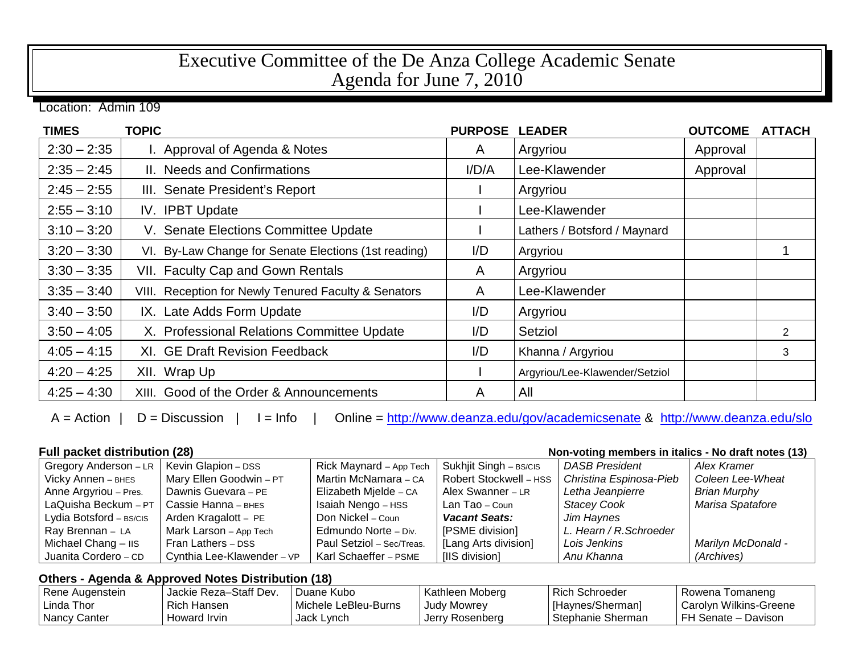## Executive Committee of the De Anza College Academic Senate Agenda for June 7, 2010

Location: Admin 109

| <b>TIMES</b>  | <b>TOPIC</b>                                         | <b>PURPOSE</b> | <b>LEADER</b>                  | <b>OUTCOME</b> | <b>ATTACH</b> |
|---------------|------------------------------------------------------|----------------|--------------------------------|----------------|---------------|
| $2:30 - 2:35$ | I. Approval of Agenda & Notes                        | A              | Argyriou                       | Approval       |               |
| $2:35 - 2:45$ | II. Needs and Confirmations                          | I/D/A          | Lee-Klawender                  | Approval       |               |
| $2:45 - 2:55$ | III. Senate President's Report                       |                | Argyriou                       |                |               |
| $2:55 - 3:10$ | IV. IPBT Update                                      |                | Lee-Klawender                  |                |               |
| $3:10 - 3:20$ | V. Senate Elections Committee Update                 |                | Lathers / Botsford / Maynard   |                |               |
| $3:20 - 3:30$ | VI. By-Law Change for Senate Elections (1st reading) | I/D            | Argyriou                       |                |               |
| $3:30 - 3:35$ | VII. Faculty Cap and Gown Rentals                    | A              | Argyriou                       |                |               |
| $3:35 - 3:40$ | VIII. Reception for Newly Tenured Faculty & Senators | A              | Lee-Klawender                  |                |               |
| $3:40 - 3:50$ | IX. Late Adds Form Update                            | I/D            | Argyriou                       |                |               |
| $3:50 - 4:05$ | X. Professional Relations Committee Update           | I/D            | Setziol                        |                | 2             |
| $4:05 - 4:15$ | XI. GE Draft Revision Feedback                       | I/D            | Khanna / Argyriou              |                | 3             |
| $4:20 - 4:25$ | XII. Wrap Up                                         |                | Argyriou/Lee-Klawender/Setziol |                |               |
| $4:25 - 4:30$ | XIII. Good of the Order & Announcements              | A              | All                            |                |               |

A = Action | D = Discussion | I = Info | Online =<http://www.deanza.edu/gov/academicsenate> & <http://www.deanza.edu/slo>

**Full packet distribution (28) Non-voting members in italics - No draft notes (13)**

| Gregory Anderson - LR        | Kevin Glapion - DSS        | Rick Maynard - App Tech   | Sukhjit Singh - BS/CIS | <b>DASB President</b>   | Alex Kramer         |
|------------------------------|----------------------------|---------------------------|------------------------|-------------------------|---------------------|
| Vicky Annen - BHES           | Mary Ellen Goodwin - PT    | Martin McNamara - CA      | Robert Stockwell - HSS | Christina Espinosa-Pieb | Coleen Lee-Wheat    |
| Anne Argyriou - Pres.        | Dawnis Guevara - PE        | Elizabeth Mjelde - CA     | Alex Swanner - LR      | Letha Jeanpierre        | <b>Brian Murphy</b> |
| LaQuisha Beckum - PT         | Cassie Hanna - внеs        | Isaiah Nengo - HSS        | Lan Tao - Coun         | <b>Stacey Cook</b>      | Marisa Spatafore    |
| Lydia Botsford - BS/CIS      | Arden Kragalott - PE       | Don Nickel - Coun         | <b>Vacant Seats:</b>   | Jim Haynes              |                     |
| Ray Brennan - LA             | Mark Larson - App Tech     | Edmundo Norte - Div.      | [PSME division]        | L. Hearn / R. Schroeder |                     |
| Michael Chang $ \text{II}$ s | Fran Lathers - DSS         | Paul Setziol - Sec/Treas. | [Lang Arts division]   | Lois Jenkins            | Marilyn McDonald -  |
| Juanita Cordero - CD         | Cynthia Lee-Klawender - VP | Karl Schaeffer - PSME     | [IIS division]         | Anu Khanna              | (Archives)          |

## **Others - Agenda & Approved Notes Distribution (18)**

| Rene Augenstein | Jackie Reza-Staff Dev. | Duane Kubo           | Kathleen Moberg | <b>Rich Schroeder</b> | Rowena Tomaneng          |
|-----------------|------------------------|----------------------|-----------------|-----------------------|--------------------------|
| l Linda Thor    | Rich Hansen            | Michele LeBleu-Burns | Judy Mowrey     | [Haynes/Sherman]      | l Carolyn Wilkins-Greene |
| Nancy Canter    | Howard Irvin           | Jack Lynch           | Jerry Rosenberg | Stephanie Sherman     | FH Senate - Davison      |